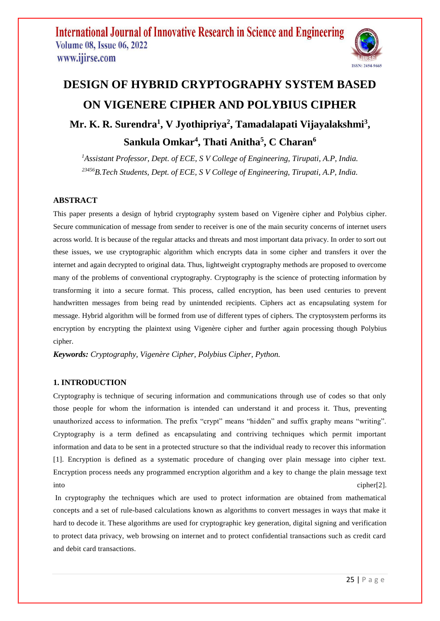

# **DESIGN OF HYBRID CRYPTOGRAPHY SYSTEM BASED ON VIGENERE CIPHER AND POLYBIUS CIPHER**

**Mr. K. R. Surendra<sup>1</sup> , V Jyothipriya<sup>2</sup> , Tamadalapati Vijayalakshmi<sup>3</sup> , Sankula Omkar<sup>4</sup> , Thati Anitha<sup>5</sup> , C Charan<sup>6</sup>**

*<sup>1</sup>Assistant Professor, Dept. of ECE, S V College of Engineering, Tirupati, A.P, India. <sup>23456</sup>B.Tech Students, Dept. of ECE, S V College of Engineering, Tirupati, A.P, India.*

## **ABSTRACT**

This paper presents a design of hybrid cryptography system based on Vigenère cipher and Polybius cipher. Secure communication of message from sender to receiver is one of the main security concerns of internet users across world. It is because of the regular attacks and threats and most important data privacy. In order to sort out these issues, we use cryptographic algorithm which encrypts data in some cipher and transfers it over the internet and again decrypted to original data. Thus, lightweight cryptography methods are proposed to overcome many of the problems of conventional cryptography. Cryptography is the science of protecting information by transforming it into a secure format. This process, called encryption, has been used centuries to prevent handwritten messages from being read by unintended recipients. Ciphers act as encapsulating system for message. Hybrid algorithm will be formed from use of different types of ciphers. The cryptosystem performs its encryption by encrypting the plaintext using Vigenère cipher and further again processing though Polybius cipher.

*Keywords: Cryptography, Vigenère Cipher, Polybius Cipher, Python.*

## **1. INTRODUCTION**

[Cryptography](https://www.geeksforgeeks.org/cryptography-introduction-to-crypto-terminologies/) is technique of securing information and communications through use of codes so that only those people for whom the information is intended can understand it and process it. Thus, preventing unauthorized access to information. The prefix "crypt" means "hidden" and suffix graphy means "writing". Cryptography is a term defined as encapsulating and contriving techniques which permit important information and data to be sent in a protected structure so that the individual ready to recover this information [1]. Encryption is defined as a systematic procedure of changing over plain message into cipher text. Encryption process needs any programmed encryption algorithm and a key to change the plain message text into cipher[2].

In cryptography the techniques which are used to protect information are obtained from mathematical concepts and a set of rule-based calculations known as algorithms to convert messages in ways that make it hard to decode it. These algorithms are used for cryptographic key generation, digital signing and verification to protect data privacy, web browsing on internet and to protect confidential transactions such as credit card and debit card transactions.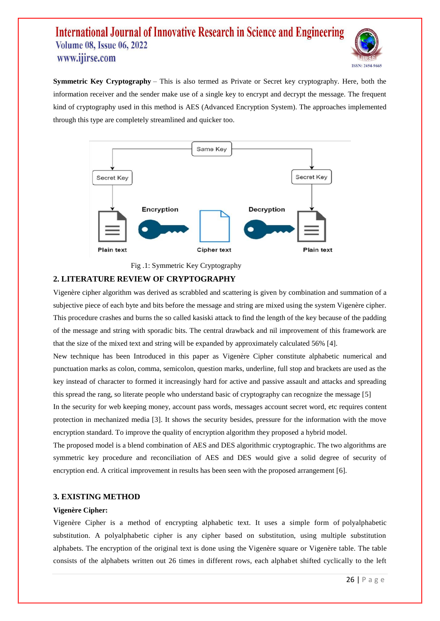

**Symmetric Key Cryptography** – This is also termed as Private or Secret key cryptography. Here, both the information receiver and the sender make use of a single key to encrypt and decrypt the message. The frequent kind of cryptography used in this method is AES (Advanced Encryption System). The approaches implemented through this type are completely streamlined and quicker too.



Fig .1: Symmetric Key Cryptography

## **2. LITERATURE REVIEW OF CRYPTOGRAPHY**

Vigenère cipher algorithm was derived as scrabbled and scattering is given by combination and summation of a subjective piece of each byte and bits before the message and string are mixed using the system Vigenère cipher. This procedure crashes and burns the so called kasiski attack to find the length of the key because of the padding of the message and string with sporadic bits. The central drawback and nil improvement of this framework are that the size of the mixed text and string will be expanded by approximately calculated 56% [4].

New technique has been Introduced in this paper as Vigenère Cipher constitute alphabetic numerical and punctuation marks as colon, comma, semicolon, question marks, underline, full stop and brackets are used as the key instead of character to formed it increasingly hard for active and passive assault and attacks and spreading this spread the rang, so literate people who understand basic of cryptography can recognize the message [5]

In the security for web keeping money, account pass words, messages account secret word, etc requires content protection in mechanized media [3]. It shows the security besides, pressure for the information with the move encryption standard. To improve the quality of encryption algorithm they proposed a hybrid model.

The proposed model is a blend combination of AES and DES algorithmic cryptographic. The two algorithms are symmetric key procedure and reconciliation of AES and DES would give a solid degree of security of encryption end. A critical improvement in results has been seen with the proposed arrangement [6].

## **3. EXISTING METHOD**

### **Vigenère Cipher:**

Vigenère Cipher is a method of encrypting alphabetic text. It uses a simple form of [polyalphabetic](https://en.wikipedia.org/wiki/Polyalphabetic_cipher) [substitution.](https://en.wikipedia.org/wiki/Polyalphabetic_cipher) A polyalphabetic cipher is any cipher based on substitution, using multiple substitution alphabets. The encryption of the original text is done using the [Vigenère](https://en.wikipedia.org/wiki/Vigen%C3%A8re_cipher#/media/File:Vigen%C3%A8re_square_shading.svg) square or Vigenère table. The table consists of the alphabets written out 26 times in different rows, each alphabet shifted cyclically to the left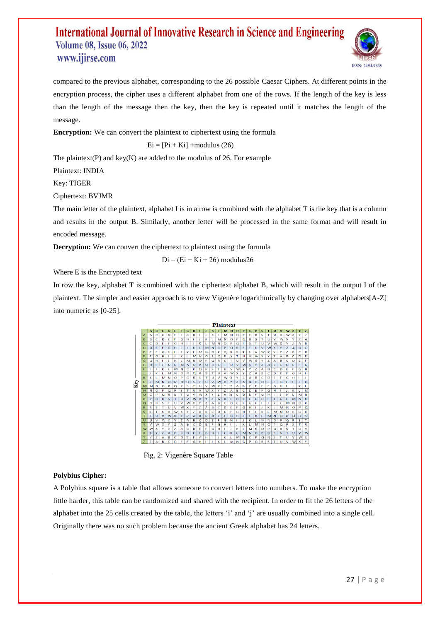

compared to the previous alphabet, corresponding to the 26 possible Caesar [Ciphers.](https://www.geeksforgeeks.org/caesar-cipher/) At different points in the encryption process, the cipher uses a different alphabet from one of the rows. If the length of the key is less than the length of the message then the key, then the key is repeated until it matches the length of the message.

**Encryption:** We can convert the plaintext to ciphertext using the formula

$$
Ei = [Pi + Ki] + modulus (26)
$$

The plaintext(P) and key(K) are added to the modulus of 26. For example

Plaintext: INDIA

Key: TIGER

Ciphertext: BVJMR

The main letter of the plaintext, alphabet I is in a row is combined with the alphabet T is the key that is a column and results in the output B. Similarly, another letter will be processed in the same format and will result in encoded message.

**Decryption:** We can convert the ciphertext to plaintext using the formula

$$
Di = (Ei - Ki + 26) \text{ modulus} 26
$$

Where E is the Encrypted text

In row the key, alphabet T is combined with the ciphertext alphabet B, which will result in the output I of the plaintext. The simpler and easier approach is to view Vigenère logarithmically by changing over alphabets[A-Z] into numeric as [0-25].



Fig. 2: Vigenère Square Table

## **Polybius Cipher:**

A Polybius square is a table that allows someone to convert letters into numbers. To make the encryption little harder, this table can be randomized and shared with the recipient. In order to fit the 26 letters of the alphabet into the 25 cells created by the table, the letters 'i' and 'j' are usually combined into a single cell. Originally there was no such problem because the ancient Greek alphabet has 24 letters.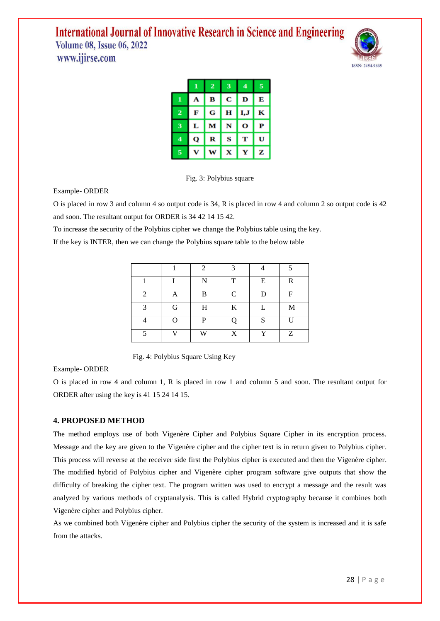

|                         | 1 | $\overline{\mathbf{2}}$ | 3 | 4    | 5 |
|-------------------------|---|-------------------------|---|------|---|
| 1                       | А | в                       | С | D    | Е |
| $\overline{\mathbf{2}}$ | F | G                       | н | I, J | к |
| 3                       | L | М                       | N | О    | P |
| 4                       | Q | R                       | s | т    | U |
| 5                       |   | w                       | x |      | z |



Example- ORDER

O is placed in row 3 and column 4 so output code is 34, R is placed in row 4 and column 2 so output code is 42 and soon. The resultant output for ORDER is 34 42 14 15 42.

To increase the security of the Polybius cipher we change the Polybius table using the key.

If the key is INTER, then we can change the Polybius square table to the below table

|                |   | $\mathfrak{D}$ | 2            |   | ς  |
|----------------|---|----------------|--------------|---|----|
|                |   | N              | T            | E | R  |
| $\overline{c}$ | Α | B              | $\mathsf{C}$ | D | F  |
| 2              | G | H              | K            |   | M  |
|                | ∩ | P              |              | S | ТI |
|                |   | W              | X            | Y | Ζ  |

Fig. 4: Polybius Square Using Key

Example- ORDER

O is placed in row 4 and column 1, R is placed in row 1 and column 5 and soon. The resultant output for ORDER after using the key is 41 15 24 14 15.

## **4. PROPOSED METHOD**

The method employs use of both Vigenère Cipher and Polybius Square Cipher in its encryption process. Message and the key are given to the Vigenère cipher and the cipher text is in return given to Polybius cipher. This process will reverse at the receiver side first the Polybius cipher is executed and then the Vigenère cipher. The modified hybrid of Polybius cipher and Vigenère cipher program software give outputs that show the difficulty of breaking the cipher text. The program written was used to encrypt a message and the result was analyzed by various methods of cryptanalysis. This is called Hybrid cryptography because it combines both Vigenère cipher and Polybius cipher.

As we combined both Vigenère cipher and Polybius cipher the security of the system is increased and it is safe from the attacks.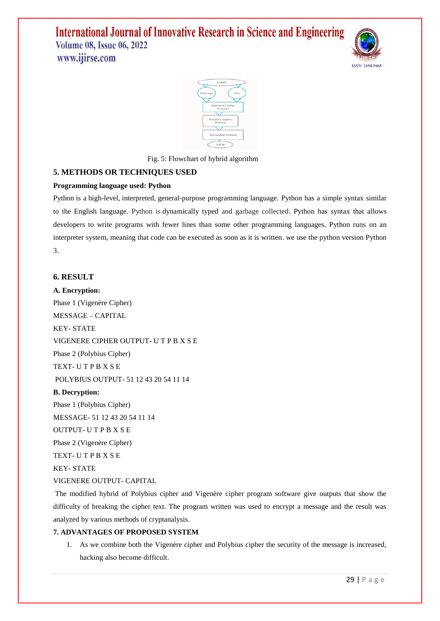



Fig. 5: Flowchart of hybrid algorithm

## **5. METHODS OR TECHNIQUES USED**

## **Programming language used: Python**

Python is a [high-level,](https://en.wikipedia.org/wiki/High-level_programming_language) [interpreted,](https://en.wikipedia.org/wiki/Interpreter_(computing)) [general-purpose programming language.](https://en.wikipedia.org/wiki/General-purpose_programming_language) Python has a simple syntax similar to the English language. Python is dynamically typed and garbage collected. Python has syntax that allows developers to write programs with fewer lines than some other programming languages. Python runs on an interpreter system, meaning that code can be executed as soon as it is written. we use the python version Python 3.

## **6. RESULT**

**A. Encryption:** Phase 1 (Vigenère Cipher) MESSAGE – CAPITAL KEY- STATE VIGENERE CIPHER OUTPUT- U T P B X S E Phase 2 (Polybius Cipher) TEXT- U T P B X S E POLYBIUS OUTPUT- 51 12 43 20 54 11 14 **B. Decryption:** Phase 1 (Polybius Cipher) MESSAGE- 51 12 43 20 54 11 14 OUTPUT- U T P B X S E

Phase 2 (Vigenère Cipher)

TEXT- U T P B X S E

KEY- STATE

## VIGENERE OUTPUT- CAPITAL

The modified hybrid of Polybius cipher and Vigenère cipher program software give outputs that show the difficulty of breaking the cipher text. The program written was used to encrypt a message and the result was analyzed by various methods of cryptanalysis.

### **7. ADVANTAGES OF PROPOSED SYSTEM**

1. As we combine both the Vigenère cipher and Polybius cipher the security of the message is increased, hacking also become difficult.